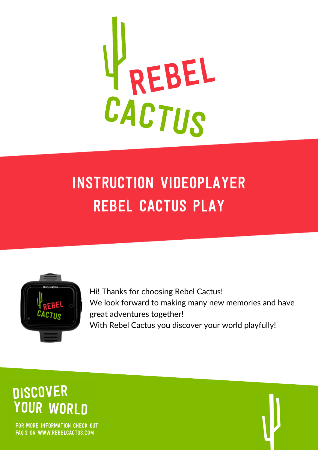

# instruction videoplayer rebel cactus play



Hi! Thanks for choosing Rebel Cactus! We look forward to making many new memories and have great adventures together! With Rebel Cactus you discover your world playfully!

# **DISCOVER YOUR WORLD**

FOR MORE INFORMATION CHECK OUT FAQ'S ON WWW.REBELCACTUS.COM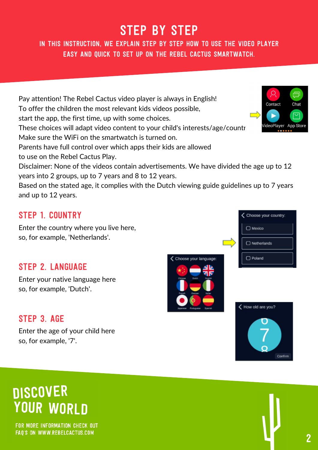## STeP by STeP

In this instruction, we explain step by step how to use the video player easy and quick to set up on the rebel cactus smartwatch.

Pay attention! The Rebel Cactus video player is always in English! Contact To offer the children the most relevant kids videos possible, start the app, the first time, up with some choices. These choices will adapt video content to your child's interests/age/countr Make sure the WiFi on the smartwatch is turned on. Parents have full control over which apps their kids are allowed to use on the Rebel Cactus Play. Disclaimer: None of the videos contain advertisements. We have divided the age up to 12 years into 2 groups, up to 7 years and 8 to 12 years.

Based on the stated age, it complies with the Dutch viewing guide guidelines up to 7 years and up to 12 years.

#### Step 1. country

Enter the country where you live here, so, for example, 'Netherlands'.

#### Step 2. language

Enter your native language here so, for example, 'Dutch'.

#### STEP 3. AGE

Enter the age of your child here so, for example, '7'.

# **DISCOVER YOUR WORLD**

FOR MORE INFORMATION CHECK OUT FAQ'S ON WWW.REBELCACTUS.COM









| ◯ Choose your country: |
|------------------------|
| ) Mexico               |
|                        |
| Netherlands<br>∩       |
|                        |
| Poland                 |
|                        |

П

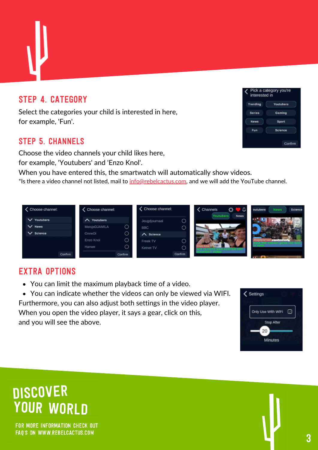### STEP 4. CATEGORY

Select the categories your child is interested in here, for example, 'Fun'.

#### Step 5. channels

Choose the video channels your child likes here, for example, 'Youtubers' and 'Enzo Knol'.

When you have entered this, the smartwatch will automatically show videos.

\*Is there a video channel not listed, mail to [info@rebelcactus.com](http://rebelcactus.com/), and we will add the YouTube channel.



#### EXTRA OPTIons

You can limit the maximum playback time of a video.

You can indicate whether the videos can only be viewed via WIFI. Furthermore, you can also adjust both settings in the video player. When you open the video player, it says a gear, click on this, and you will see the above.



# **DISCOVER YOUR WORLD**

FOR MORE INFORMATION CHECK OUT FAQ'S ON WWW.REBELCACTUS.COM